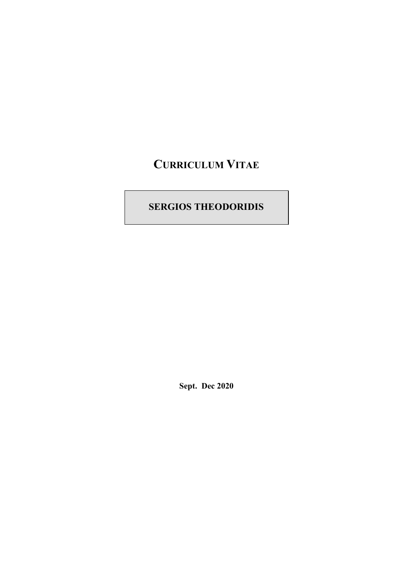# **CURRICULUM VITAE**

## **SERGIOS THEODORIDIS**

**Sept. Dec 2020**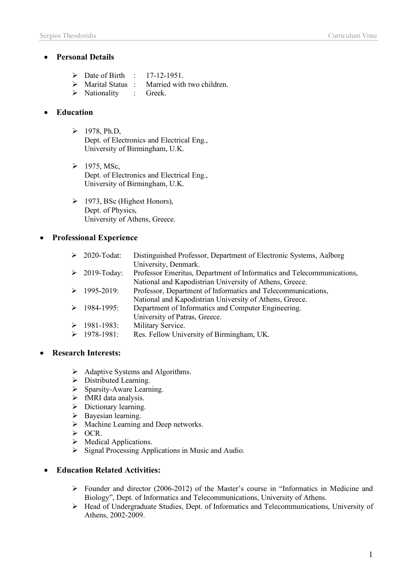## • **Personal Details**

- $\triangleright$  Date of Birth : 17-12-1951.
- $\triangleright$  Marital Status : Married with two children.
- Ø Nationality : Greek.

## • **Education**

- $\triangleright$  1978, Ph.D, Dept. of Electronics and Electrical Eng., University of Birmingham, U.K.
- $\triangleright$  1975, MSc, Dept. of Electronics and Electrical Eng., University of Birmingham, U.K.
- $\triangleright$  1973, BSc (Highest Honors), Dept. of Physics, University of Athens, Greece.

## • **Professional Experience**

| 2020-Todat:         | Distinguished Professor, Department of Electronic Systems, Aalborg    |
|---------------------|-----------------------------------------------------------------------|
|                     | University, Denmark.                                                  |
| $\geq 2019$ -Today: | Professor Emeritus, Department of Informatics and Telecommunications, |
|                     | National and Kapodistrian University of Athens, Greece.               |
| 1995-2019:          | Professor, Department of Informatics and Telecommunications,          |
|                     | National and Kapodistrian University of Athens, Greece.               |
| 1984-1995:          | Department of Informatics and Computer Engineering.                   |
|                     | University of Patras, Greece.                                         |
| 1981-1983:          | Military Service.                                                     |
| 1978-1981:          | Res. Fellow University of Birmingham, UK.                             |

## • **Research Interests:**

- $\triangleright$  Adaptive Systems and Algorithms.
- $\triangleright$  Distributed Learning.
- $\triangleright$  Sparsity-Aware Learning.
- $\triangleright$  fMRI data analysis.
- $\triangleright$  Dictionary learning.
- $\triangleright$  Bayesian learning.
- $\triangleright$  Machine Learning and Deep networks.
- $\triangleright$  OCR.
- $\triangleright$  Medical Applications.
- $\triangleright$  Signal Processing Applications in Music and Audio.

## • **Education Related Activities:**

- Ø Founder and director (2006-2012) of the Master's course in "Informatics in Medicine and Biology", Dept. of Informatics and Telecommunications, University of Athens.
- Ø Head of Undergraduate Studies, Dept. of Informatics and Telecommunications, University of Athens, 2002-2009.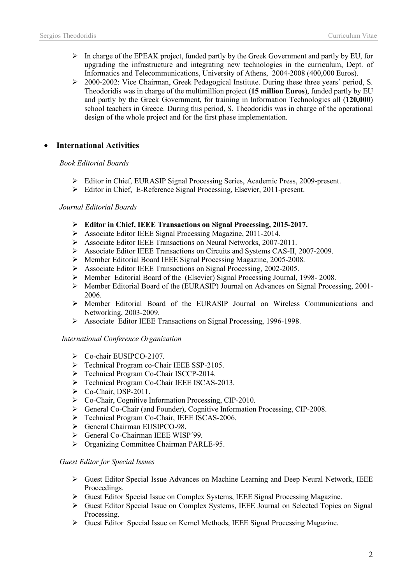- $\triangleright$  In charge of the EPEAK project, funded partly by the Greek Government and partly by EU, for upgrading the infrastructure and integrating new technologies in the curriculum, Dept. of Informatics and Telecommunications, University of Athens, 2004-2008 (400,000 Euros).
- $\geq$  2000-2002: Vice Chairman, Greek Pedagogical Institute. During these three years' period, S. Theodoridis was in charge of the multimillion project (**15 million Euros**), funded partly by EU and partly by the Greek Government, for training in Information Technologies all (**120,000**) school teachers in Greece. During this period, S. Theodoridis was in charge of the operational design of the whole project and for the first phase implementation.

## • **International Activities**

#### *Book Editorial Boards*

- Ø Editor in Chief, EURASIP Signal Processing Series, Academic Press, 2009-present.
- Ø Editor in Chief, E-Reference Signal Processing, Elsevier, 2011-present.

#### *Journal Editorial Boards*

- Ø **Editor in Chief, IEEE Transactions on Signal Processing, 2015-2017.**
- Ø Associate Editor IEEE Signal Processing Magazine, 2011-2014.
- Ø Associate Editor IEEE Transactions on Neural Networks, 2007-2011.
- Ø Associate Editor IEEE Transactions on Circuits and Systems CAS-II, 2007-2009.
- Ø Member Editorial Board IEEE Signal Processing Magazine, 2005-2008.
- Ø Associate Editor IEEE Transactions on Signal Processing, 2002-2005.
- Ø Member Editorial Board of the (Elsevier) Signal Processing Journal, 1998- 2008.
- Ø Member Editorial Board of the (EURASIP) Journal on Advances on Signal Processing, 2001- 2006.
- Ø Member Editorial Board of the EURASIP Journal on Wireless Communications and Networking, 2003-2009.
- Ø Associate Editor IEEE Transactions on Signal Processing, 1996-1998.

#### *International Conference Organization*

- $\triangleright$  Co-chair EUSIPCO-2107.
- Ø Technical Program co-Chair IEEE SSP-2105.
- Ø Technical Program Co-Chair ISCCP-2014.
- Ø Technical Program Co-Chair IEEE ISCAS-2013.
- $\triangleright$  Co-Chair, DSP-2011.
- Ø Co-Chair, Cognitive Information Processing, CIP-2010.
- Ø General Co-Chair (and Founder), Cognitive Information Processing, CIP-2008.
- Ø Technical Program Co-Chair, IEEE ISCAS-2006.
- Ø General Chairman EUSIPCO-98.
- Ø General Co-Chairman IEEE WISP´99.
- Ø Organizing Committee Chairman PARLE-95.

#### *Guest Editor for Special Issues*

- $\triangleright$  Guest Editor Special Issue Advances on Machine Learning and Deep Neural Network, IEEE Proceedings.
- Ø Guest Editor Special Issue on Complex Systems, IEEE Signal Processing Magazine.
- Ø Guest Editor Special Issue on Complex Systems, IEEE Journal on Selected Topics on Signal Processing.
- $\triangleright$  Guest Editor Special Issue on Kernel Methods, IEEE Signal Processing Magazine.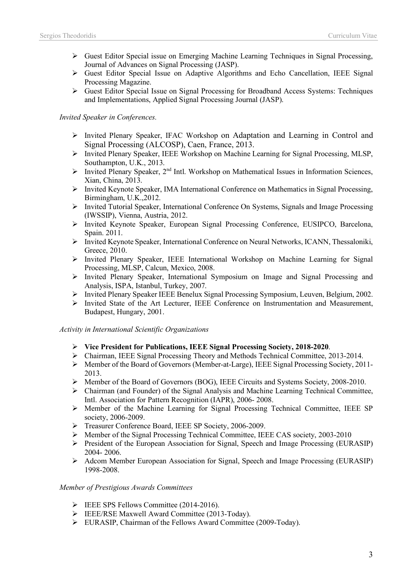- $\triangleright$  Guest Editor Special issue on Emerging Machine Learning Techniques in Signal Processing, Journal of Advances on Signal Processing (JASP).
- $\triangleright$  Guest Editor Special Issue on Adaptive Algorithms and Echo Cancellation, IEEE Signal Processing Magazine.
- $\triangleright$  Guest Editor Special Issue on Signal Processing for Broadband Access Systems: Techniques and Implementations, Applied Signal Processing Journal (JASP).

#### *Invited Speaker in Conferences.*

- Ø Invited Plenary Speaker, IFAC Workshop on Adaptation and Learning in Control and Signal Processing (ALCOSP), Caen, France, 2013.
- Ø Invited Plenary Speaker, IEEE Workshop on Machine Learning for Signal Processing, MLSP, Southampton, U.K., 2013.
- $\triangleright$  Invited Plenary Speaker, 2<sup>nd</sup> Intl. Workshop on Mathematical Issues in Information Sciences, Xian, China, 2013.
- Ø Invited Keynote Speaker, IMA International Conference on Mathematics in Signal Processing, Birmingham, U.K.,2012.
- Ø Invited Tutorial Speaker, International Conference On Systems, Signals and Image Processing (IWSSIP), Vienna, Austria, 2012.
- Ø Invited Keynote Speaker, European Signal Processing Conference, EUSIPCO, Barcelona, Spain. 2011.
- Ø Invited Keynote Speaker, International Conference on Neural Networks, ICANN, Thessaloniki, Greece, 2010.
- Ø Invited Plenary Speaker, IEEE International Workshop on Machine Learning for Signal Processing, MLSP, Calcun, Mexico, 2008.
- Ø Invited Plenary Speaker, International Symposium on Image and Signal Processing and Analysis, ISPA, Istanbul, Turkey, 2007.
- Ø Invited Plenary Speaker IEEE Benelux Signal Processing Symposium, Leuven, Belgium, 2002.
- Ø Invited State of the Art Lecturer, IEEE Conference on Instrumentation and Measurement, Budapest, Hungary, 2001.

#### *Activity in International Scientific Organizations*

- Ø **Vice President for Publications, IEEE Signal Processing Society, 2018-2020**.
- $\triangleright$  Chairman, IEEE Signal Processing Theory and Methods Technical Committee, 2013-2014.
- Ø Member of the Board of Governors (Member-at-Large), IEEE Signal Processing Society, 2011- 2013.
- Ø Member of the Board of Governors (BOG), IEEE Circuits and Systems Society, 2008-2010.
- Ø Chairman (and Founder) of the Signal Analysis and Machine Learning Technical Committee, Intl. Association for Pattern Recognition (IAPR), 2006- 2008.
- $\triangleright$  Member of the Machine Learning for Signal Processing Technical Committee, IEEE SP society, 2006-2009.
- Ø Treasurer Conference Board, IEEE SP Society, 2006-2009.
- Ø Member of the Signal Processing Technical Committee, IEEE CAS society, 2003-2010
- Ø President of the European Association for Signal, Speech and Image Processing (EURASIP) 2004- 2006.
- Ø Adcom Member European Association for Signal, Speech and Image Processing (EURASIP) 1998-2008.

#### *Member of Prestigious Awards Committees*

- $\triangleright$  IEEE SPS Fellows Committee (2014-2016).
- Ø IEEE/RSE Maxwell Award Committee (2013-Today).
- Ø EURASIP, Chairman of the Fellows Award Committee (2009-Today).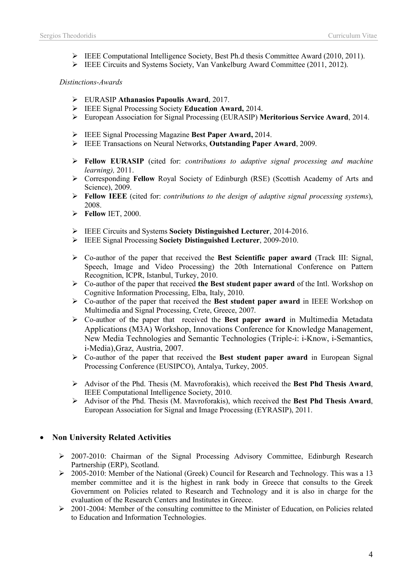- $\triangleright$  IEEE Computational Intelligence Society, Best Ph.d thesis Committee Award (2010, 2011).
- Ø IEEE Circuits and Systems Society, Van Vankelburg Award Committee (2011, 2012).

#### *Distinctions-Awards*

- Ø EURASIP **Athanasios Papoulis Award**, 2017.
- Ø IEEE Signal Processing Society **Education Award,** 2014.
- Ø European Association for Signal Processing (EURASIP) **Meritorious Service Award**, 2014.
- Ø IEEE Signal Processing Magazine **Best Paper Award,** 2014.
- Ø IEEE Transactions on Neural Networks, **Outstanding Paper Award**, 2009.
- Ø **Fellow EURASIP** (cited for: *contributions to adaptive signal processing and machine learning),* 2011.
- Ø Corresponding **Fellow** Royal Society of Edinburgh (RSE) (Scottish Academy of Arts and Science), 2009.
- Ø **Fellow IEEE** (cited for: *contributions to the design of adaptive signal processing systems*), 2008.
- Ø **Fellow** IET, 2000.
- Ø IEEE Circuits and Systems **Society Distinguished Lecturer**, 2014-2016.
- Ø IEEE Signal Processing **Society Distinguished Lecturer**, 2009-2010.
- Ø Co-author of the paper that received the **Best Scientific paper award** (Track III: Signal, Speech, Image and Video Processing) the 20th International Conference on Pattern Recognition, ICPR, Istanbul, Turkey, 2010.
- Ø Co-author of the paper that received **the Best student paper award** of the Intl. Workshop on Cognitive Information Processing, Elba, Italy, 2010.
- Ø Co-author of the paper that received the **Best student paper award** in IEEE Workshop on Multimedia and Signal Processing, Crete, Greece, 2007.
- Ø Co-author of the paper that received the **Best paper award** in Multimedia Metadata Applications (M3A) Workshop, Innovations Conference for Knowledge Management, New Media Technologies and Semantic Technologies (Triple-i: i-Know, i-Semantics, i-Media),Graz, Austria, 2007.
- Ø Co-author of the paper that received the **Best student paper award** in European Signal Processing Conference (EUSIPCO), Antalya, Turkey, 2005.
- Ø Advisor of the Phd. Thesis (M. Mavroforakis), which received the **Best Phd Thesis Award**, IEEE Computational Intelligence Society, 2010.
- Ø Advisor of the Phd. Thesis (M. Mavroforakis), which received the **Best Phd Thesis Award**, European Association for Signal and Image Processing (EYRASIP), 2011.

### • **Non University Related Activities**

- Ø 2007-2010: Chairman of the Signal Processing Advisory Committee, Edinburgh Research Partnership (ERP), Scotland.
- Ø 2005-2010: Member of the National (Greek) Council for Research and Technology. This was a 13 member committee and it is the highest in rank body in Greece that consults to the Greek Government on Policies related to Research and Technology and it is also in charge for the evaluation of the Research Centers and Institutes in Greece.
- Ø 2001-2004: Member of the consulting committee to the Minister of Education, on Policies related to Education and Information Technologies.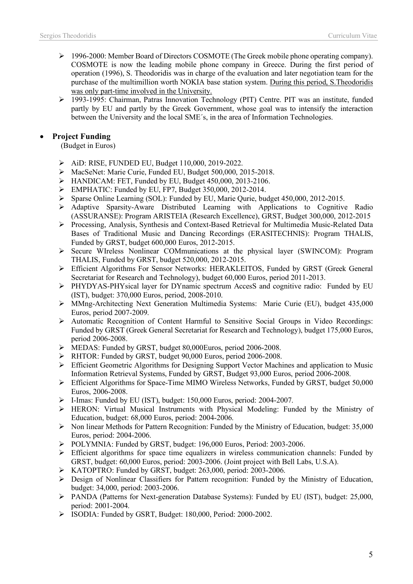- Ø 1996-2000: Member Board of Directors COSMOTE (The Greek mobile phone operating company). COSMOTE is now the leading mobile phone company in Greece. During the first period of operation (1996), S. Theodoridis was in charge of the evaluation and later negotiation team for the purchase of the multimillion worth NOKIA base station system. During this period, S.Theodoridis was only part-time involved in the University.
- Ø 1993-1995: Chairman, Patras Innovation Technology (PIT) Centre. PIT was an institute, funded partly by EU and partly by the Greek Government, whose goal was to intensify the interaction between the University and the local SME´s, in the area of Information Technologies.

## • **Project Funding**

(Budget in Euros)

- Ø AiD: RISE, FUNDED EU, Budget 110,000, 2019-2022.
- Ø MacSeNet: Marie Curie, Funded EU, Budget 500,000, 2015-2018.
- $\triangleright$  HANDICAM: FET, Funded by EU, Budget 450,000, 2013-2106.
- $\triangleright$  EMPHATIC: Funded by EU, FP7, Budget 350,000, 2012-2014.
- Sparse Online Learning (SOL): Funded by EU, Marie Qurie, budget 450,000, 2012-2015.
- Ø Adaptive Sparsity-Aware Distributed Learning with Applications to Cognitive Radio (ASSURANSE): Program ARISTEIA (Research Excellence), GRST, Budget 300,000, 2012-2015
- Ø Processing, Analysis, Synthesis and Context-Based Retrieval for Multimedia Music-Related Data Bases of Traditional Music and Dancing Recordings (ERASITECHNIS): Program THALIS, Funded by GRST, budget 600,000 Euros, 2012-2015.
- Ø Secure WIreless Nonlinear COMmunications at the physical layer (SWINCOM): Program THALIS, Funded by GRST, budget 520,000, 2012-2015.
- Ø Efficient Algorithms For Sensor Networks: HERAKLEITOS, Funded by GRST (Greek General Secretariat for Research and Technology), budget 60,000 Euros, period 2011-2013.
- Ø PHYDYAS-PHYsical layer for DYnamic spectrum AccesS and cognitive radio: Funded by EU (IST), budget: 370,000 Euros, period, 2008-2010.
- Ø MMng-Architecting Next Generation Multimedia Systems: Marie Curie (EU), budget 435,000 Euros, period 2007-2009.
- Ø Automatic Recognition of Content Harmful to Sensitive Social Groups in Video Recordings: Funded by GRST (Greek General Secretariat for Research and Technology), budget 175,000 Euros, period 2006-2008.
- Ø MEDAS: Funded by GRST, budget 80,000Euros, period 2006-2008.
- Ø RHTOR: Funded by GRST, budget 90,000 Euros, period 2006-2008.
- Ø Efficient Geometric Algorithms for Designing Support Vector Machines and application to Music Information Retrieval Systems, Funded by GRST, Budget 93,000 Euros, period 2006-2008.
- Ø Efficient Algorithms for Space-Time MIMO Wireless Networks, Funded by GRST, budget 50,000 Euros, 2006-2008.
- Ø I-Imas: Funded by EU (IST), budget: 150,000 Euros, period: 2004-2007.
- Ø HERON: Virtual Musical Instruments with Physical Modeling: Funded by the Ministry of Education, budget: 68,000 Euros, period: 2004-2006.
- $\triangleright$  Non linear Methods for Pattern Recognition: Funded by the Ministry of Education, budget: 35,000 Euros, period: 2004-2006.
- Ø POLYMNIA: Funded by GRST, budget: 196,000 Euros, Period: 2003-2006.
- $\triangleright$  Efficient algorithms for space time equalizers in wireless communication channels: Funded by GRST, budget: 60,000 Euros, period: 2003-2006. (Joint project with Bell Labs, U.S.A).
- Ø KATOPTRO: Funded by GRST, budget: 263,000, period: 2003-2006.
- Ø Design of Nonlinear Classifiers for Pattern recognition: Funded by the Ministry of Education, budget: 34,000, period: 2003-2006.
- Ø PANDA (Patterns for Next-generation Database Systems): Funded by EU (IST), budget: 25,000, period: 2001-2004.
- Ø ISODIA: Funded by GSRT, Budget: 180,000, Period: 2000-2002.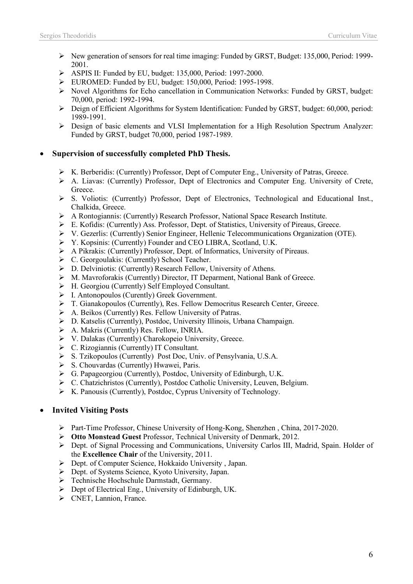- $\triangleright$  New generation of sensors for real time imaging: Funded by GRST, Budget: 135,000, Period: 1999-2001.
- $\triangleright$  ASPIS II: Funded by EU, budget: 135,000, Period: 1997-2000.
- Ø EUROMED: Funded by EU, budget: 150,000, Period: 1995-1998.
- $\triangleright$  Novel Algorithms for Echo cancellation in Communication Networks: Funded by GRST, budget: 70,000, period: 1992-1994.
- $\triangleright$  Deign of Efficient Algorithms for System Identification: Funded by GRST, budget: 60,000, period: 1989-1991.
- Ø Design of basic elements and VLSI Implementation for a High Resolution Spectrum Analyzer: Funded by GRST, budget 70,000, period 1987-1989.

#### • **Supervision of successfully completed PhD Thesis.**

- Ø K. Berberidis: (Currently) Professor, Dept of Computer Eng., University of Patras, Greece.
- $\triangleright$  A. Liavas: (Currently) Professor, Dept of Electronics and Computer Eng. University of Crete, Greece.
- $\triangleright$  S. Voliotis: (Currently) Professor, Dept of Electronics, Technological and Educational Inst. Chalkida, Greece.
- $\triangleright$  A Rontogiannis: (Currently) Research Professor, National Space Research Institute.
- Ø E. Kofidis: (Currently) Ass. Professor, Dept. of Statistics, University of Pireaus, Greece.
- Ø V. Gezerlis: (Currently) Senior Engineer, Hellenic Telecommunications Organization (OTE).
- Ø Y. Kopsinis: (Currently) Founder and CEO LIBRA, Scotland, U.K.
- Ø A Pikrakis: (Currently) Professor, Dept. of Informatics, University of Pireaus.
- Ø C. Georgoulakis: (Currently) School Teacher.
- Ø D. Delviniotis: (Currently) Research Fellow, University of Athens.
- Ø M. Mavroforakis (Currently) Director, IT Deparment, National Bank of Greece.
- Ø H. Georgiou (Currently) Self Employed Consultant.
- Ø I. Antonopoulos (Curently) Greek Government.
- $\triangleright$  T. Gianakopoulos (Currently), Res. Fellow Democritus Research Center, Greece.
- Ø A. Beikos (Currently) Res. Fellow University of Patras.
- Ø D. Katselis (Currently), Postdoc, University Illinois, Urbana Champaign.
- $\triangleright$  A. Makris (Currently) Res. Fellow, INRIA.
- Ø V. Dalakas (Currently) Charokopeio University, Greece.
- $\triangleright$  C. Rizogiannis (Currently) IT Consultant.
- Ø S. Tzikopoulos (Currently) Post Doc, Univ. of Pensylvania, U.S.A.
- $\triangleright$  S. Chouvardas (Currently) Hwawei, Paris.
- $\triangleright$  G. Papageorgiou (Currently), Postdoc, University of Edinburgh, U.K.
- Ø C. Chatzichristos (Currently), Postdoc Catholic University, Leuven, Belgium.
- $\triangleright$  K. Panousis (Currently), Postdoc, Cyprus University of Technology.

### • **Invited Visiting Posts**

- Ø Part-Time Professor, Chinese University of Hong-Kong, Shenzhen , China, 2017-2020.
- Ø **Otto Monstead Guest** Professor, Technical University of Denmark, 2012.
- $\triangleright$  Dept. of Signal Processing and Communications, University Carlos III, Madrid, Spain. Holder of the **Excellence Chair** of the University, 2011.
- Ø Dept. of Computer Science, Hokkaido University , Japan.
- Ø Dept. of Systems Science, Kyoto University, Japan.
- Ø Technische Hochschule Darmstadt, Germany.
- $\triangleright$  Dept of Electrical Eng., University of Edinburgh, UK.
- $\triangleright$  CNET, Lannion, France.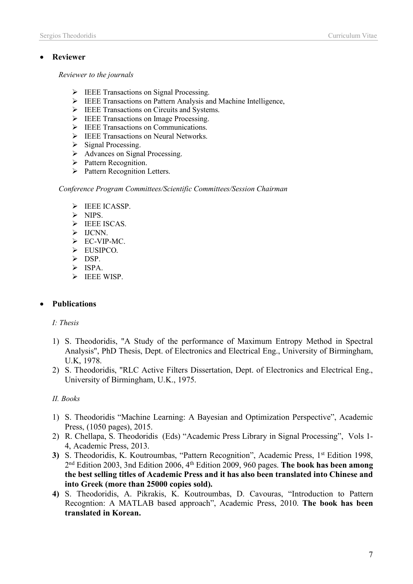### • **Reviewer**

*Reviewer to the journals*

- $\triangleright$  IEEE Transactions on Signal Processing.
- $\triangleright$  IEEE Transactions on Pattern Analysis and Machine Intelligence,
- Ø IEEE Transactions on Circuits and Systems.
- $\triangleright$  IEEE Transactions on Image Processing.
- Ø IEEE Transactions on Communications.
- Ø IEEE Transactions on Neural Networks.
- $\triangleright$  Signal Processing.
- $\triangleright$  Advances on Signal Processing.
- Ø Pattern Recognition.
- Ø Pattern Recognition Letters.

*Conference Program Committees/Scientific Committees/Session Chairman*

- $\triangleright$  IEEE ICASSP.
- $\triangleright$  NIPS.
- Ø IEEE ISCAS.
- $\triangleright$  IJCNN.
- $\triangleright$  EC-VIP-MC.
- $\triangleright$  EUSIPCO.
- $\triangleright$  DSP.
- Ø ISPA.
- $\triangleright$  IEEE WISP.

## • **Publications**

### *I: Thesis*

- 1) S. Theodoridis, "A Study of the performance of Maximum Entropy Method in Spectral Analysis", PhD Thesis, Dept. of Electronics and Electrical Eng., University of Birmingham, U.K, 1978.
- 2) S. Theodoridis, "RLC Active Filters Dissertation, Dept. of Electronics and Electrical Eng., University of Birmingham, U.K., 1975.

### *IΙ. Books*

- 1) S. Theodoridis "Machine Learning: A Bayesian and Optimization Perspective", Academic Press, (1050 pages), 2015.
- 2) R. Chellapa, S. Theodoridis (Eds) "Academic Press Library in Signal Processing", Vols 1- 4, Academic Press, 2013.
- 3) S. Theodoridis, K. Koutroumbas, "Pattern Recognition", Academic Press, 1<sup>st</sup> Edition 1998, 2nd Edition 2003, 3nd Edition 2006, 4th Edition 2009, 960 pages. **The book has been among the best selling titles of Academic Press and it has also been translated into Chinese and into Greek (more than 25000 copies sold).**
- **4)** S. Theodoridis, A. Pikrakis, K. Koutroumbas, D. Cavouras, "Introduction to Pattern Recogntion: A MATLAB based approach", Academic Press, 2010. **The book has been translated in Korean.**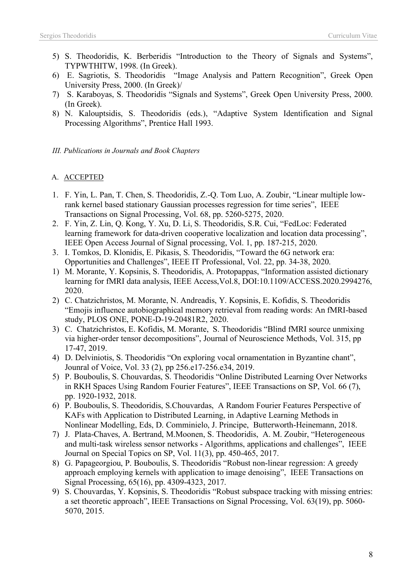- 5) S. Theodoridis, K. Berberidis "Introduction to the Theory of Signals and Systems", TYPWTHITW, 1998. (In Greek).
- 6) E. Sagriotis, S. Theodoridis "Image Analysis and Pattern Recognition", Greek Open University Press, 2000. (In Greek)/
- 7) S. Karaboyas, S. Theodoridis "Signals and Systems", Greek Open University Press, 2000. (In Greek).
- 8) N. Kalouptsidis, S. Theodoridis (eds.), "Adaptive System Identification and Signal Processing Algorithms", Prentice Hall 1993.

*ΙΙΙ. Publications in Journals and Book Chapters*

## A. ACCEPTED

- 1. F. Yin, L. Pan, T. Chen, S. Theodoridis, Z.-Q. Tom Luo, A. Zoubir, "Linear multiple lowrank kernel based stationary Gaussian processes regression for time series", IEEE Transactions on Signal Processing, Vol. 68, pp. 5260-5275, 2020.
- 2. F. Yin, Z. Lin, Q. Kong, Y. Xu, D. Li, S. Theodoridis, S.R. Cui, "FedLoc: Federated learning framework for data-driven cooperative localization and location data processing", IEEE Open Access Journal of Signal processing, Vol. 1, pp. 187-215, 2020.
- 3. I. Tomkos, D. Klonidis, E. Pikasis, S. Theodoridis, "Toward the 6G network era: Opportunities and Challenges", IEEE IT Professional, Vol. 22, pp. 34-38, 2020.
- 1) M. Morante, Y. Kopsinis, S. Theodoridis, A. Protopappas, "Information assisted dictionary learning for fMRI data analysis, IEEE Access,Vol.8, DOI:10.1109/ACCESS.2020.2994276, 2020.
- 2) C. Chatzichristos, M. Morante, N. Andreadis, Y. Kopsinis, E. Kofidis, S. Theodoridis "Emojis influence autobiographical memory retrieval from reading words: An fMRI-based study, PLOS ONE, PONE-D-19-20481R2, 2020.
- 3) C. Chatzichristos, E. Kofidis, M. Morante, S. Theodoridis "Blind fMRI source unmixing via higher-order tensor decompositions", Journal of Neuroscience Methods, Vol. 315, pp 17-47, 2019.
- 4) D. Delviniotis, S. Theodoridis "On exploring vocal ornamentation in Byzantine chant", Jounral of Voice, Vol. 33 (2), pp 256.e17-256.e34, 2019.
- 5) P. Bouboulis, S. Chouvardas, S. Theodoridis "Online Distributed Learning Over Networks in RKH Spaces Using Random Fourier Features", IEEE Transactions on SP, Vol. 66 (7), pp. 1920-1932, 2018.
- 6) P. Bouboulis, S. Theodoridis, S.Chouvardas, A Random Fourier Features Perspective of KAFs with Application to Distributed Learning, in Adaptive Learning Methods in Nonlinear Modelling, Eds, D. Comminielo, J. Principe, Butterworth-Heinemann, 2018.
- 7) J. Plata-Chaves, A. Bertrand, M.Moonen, S. Theodoridis, A. M. Zoubir, "Heterogeneous and multi-task wireless sensor networks - Algorithms, applications and challenges", IEEE Journal on Special Topics on SP, Vol. 11(3), pp. 450-465, 2017.
- 8) G. Papageorgiou, P. Bouboulis, S. Theodoridis "Robust non-linear regression: A greedy approach employing kernels with application to image denoising", IEEE Transactions on Signal Processing, 65(16), pp. 4309-4323, 2017.
- 9) S. Chouvardas, Y. Kopsinis, S. Theodoridis "Robust subspace tracking with missing entries: a set theoretic approach", IEEE Transactions on Signal Processing, Vol. 63(19), pp. 5060- 5070, 2015.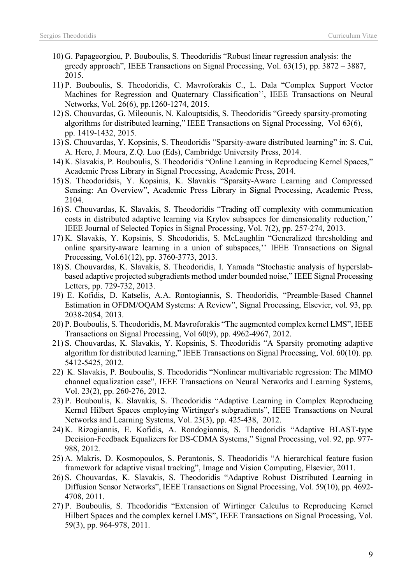- 10) G. Papageorgiou, P. Bouboulis, S. Theodoridis "Robust linear regression analysis: the greedy approach", IEEE Transactions on Signal Processing, Vol. 63(15), pp. 3872 – 3887, 2015.
- 11) P. Bouboulis, S. Theodoridis, C. Mavroforakis C., L. Dala "Complex Support Vector Machines for Regression and Quaternary Classification'', IEEE Transactions on Neural Networks, Vol. 26(6), pp.1260-1274, 2015.
- 12) S. Chouvardas, G. Mileounis, N. Kalouptsidis, S. Theodoridis "Greedy sparsity-promoting algorithms for distributed learning," IEEE Transactions on Signal Processing, Vol 63(6), pp. 1419-1432, 2015.
- 13) S. Chouvardas, Y. Kopsinis, S. Theodoridis "Sparsity-aware distributed learning" in: S. Cui, A. Hero, J. Moura, Z.Q. Luo (Eds), Cambridge University Press, 2014.
- 14) K. Slavakis, P. Bouboulis, S. Theodoridis "Online Learning in Reproducing Kernel Spaces," Academic Press Library in Signal Processing, Academic Press, 2014.
- 15) S. Theodoridsis, Y. Kopsinis, K. Slavakis "Sparsity-Aware Learning and Compressed Sensing: An Overview", Academic Press Library in Signal Processing, Academic Press, 2104.
- 16) S. Chouvardas, K. Slavakis, S. Theodoridis "Trading off complexity with communication costs in distributed adaptive learning via Krylov subsapces for dimensionality reduction,'' IEEE Journal of Selected Topics in Signal Processing, Vol. 7(2), pp. 257-274, 2013.
- 17) K. Slavakis, Y. Kopsinis, S. Sheodoridis, S. McLaughlin "Generalized thresholding and online sparsity-aware learning in a union of subspaces,'' IEEE Transactions on Signal Processing, Vol.61(12), pp. 3760-3773, 2013.
- 18) S. Chouvardas, K. Slavakis, S. Theodoridis, I. Yamada "Stochastic analysis of hyperslabbased adaptive projected subgradients method under bounded noise," IEEE Signal Processing Letters, pp. 729-732, 2013.
- 19) E. Kofidis, D. Katselis, A.A. Rontogiannis, S. Theodoridis, "Preamble-Based Channel Estimation in OFDM/OQAM Systems: A Review", Signal Processing, Elsevier, vol. 93, pp. 2038-2054, 2013.
- 20) P. Bouboulis, S. Theodoridis, M. Mavroforakis "The augmented complex kernel LMS", IEEE Transactions on Signal Processing, Vol 60(9), pp. 4962-4967, 2012.
- 21) S. Chouvardas, K. Slavakis, Y. Kopsinis, S. Theodoridis "A Sparsity promoting adaptive algorithm for distributed learning," IEEE Transactions on Signal Processing, Vol. 60(10). pp. 5412-5425, 2012.
- 22) K. Slavakis, P. Bouboulis, S. Theodoridis "Nonlinear multivariable regression: The MIMO channel equalization case", IEEE Transactions on Neural Networks and Learning Systems, Vol. 23(2), pp. 260-276, 2012.
- 23) P. Bouboulis, K. Slavakis, S. Theodoridis "Adaptive Learning in Complex Reproducing Kernel Hilbert Spaces employing Wirtinger's subgradients", IEEE Transactions on Neural Networks and Learning Systems, Vol. 23(3), pp. 425-438, 2012.
- 24) K. Rizogiannis, E. Kofidis, A. Rondogiannis, S. Theodoridis "Adaptive BLAST-type Decision-Feedback Equalizers for DS-CDMA Systems," Signal Processing, vol. 92, pp. 977- 988, 2012.
- 25) A. Makris, D. Kosmopoulos, S. Perantonis, S. Theodoridis "A hierarchical feature fusion framework for adaptive visual tracking", Image and Vision Computing, Elsevier, 2011.
- 26) S. Chouvardas, K. Slavakis, S. Theodoridis "Adaptive Robust Distributed Learning in Diffusion Sensor Networks", IEEE Transactions on Signal Processing, Vol. 59(10), pp. 4692- 4708, 2011.
- 27) P. Bouboulis, S. Theodoridis "Extension of Wirtinger Calculus to Reproducing Kernel Hilbert Spaces and the complex kernel LMS", IEEE Transactions on Signal Processing, Vol. 59(3), pp. 964-978, 2011.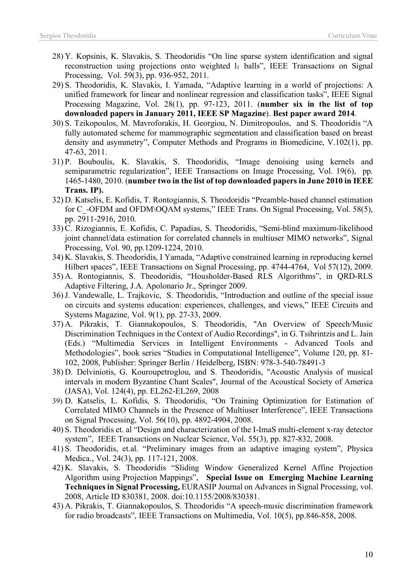- 28) Y. Kopsinis, K. Slavakis, S. Theodoridis "On line sparse system identification and signal reconstruction using projections onto weighted  $l_1$  balls", IEEE Transactions on Signal Processing, Vol. 59(3), pp. 936-952, 2011.
- 29) S. Theodoridis, K. Slavakis, I. Yamada, "Adaptive learning in a world of projections: A unified framework for linear and nonlinear regression and classification tasks", IEEE Signal Processing Magazine, Vol. 28(1), pp. 97-123, 2011. (**number six in the list of top downloaded papers in January 2011, IEEE SP Magazine**). **Best paper award 2014**.
- 30) S. Tzikopoulos, M. Mavroforakis, H. Georgiou, N. Dimitropoulos, and S. Theodoridis "A fully automated scheme for mammographic segmentation and classification based on breast density and asymmetry", Computer Methods and Programs in Biomedicine, V.102(1), pp. 47-63, 2011.
- 31) P. Bouboulis, K. Slavakis, S. Theodoridis, "Image denoising using kernels and semiparametric regularization", IEEE Transactions on Image Processing, Vol. 19(6), pp. 1465-1480, 2010. (**number two in the list of top downloaded papers in June 2010 in IEEE Trans. IP).**
- 32) D. Katselis, E. Kofidis, T. Rontogiannis, S. Theodoridis "Preamble-based channel estimation for C -OFDM and OFDM\OQAM systems," IEEE Trans. On Signal Processing, Vol. 58(5), pp. 2911-2916, 2010.
- 33) C. Rizogiannis, E. Kofidis, C. Papadias, S. Theodoridis, "Semi-blind maximum-likelihood joint channel/data estimation for correlated channels in multiuser MIMO networks", Signal Processing, Vol. 90, pp.1209-1224, 2010.
- 34) K. Slavakis, S. Theodoridis, I Yamada, "Adaptive constrained learning in reproducing kernel Hilbert spaces", IEEE Transactions on Signal Processing, pp. 4744-4764, Vol 57(12), 2009.
- 35) A. Rontogiannis, S. Theodoridis, "Housholder-Based RLS Algorithms", in QRD-RLS Adaptive Filtering, J.A. Apolonario Jr., Springer 2009.
- 36)J. Vandewalle, L. Trajkovic, S. Theodoridis, "Introduction and outline of the special issue on circuits and systems education: experiences, challenges, and views," IEEE Circuits and Systems Magazine, Vol. 9(1), pp. 27-33, 2009.
- 37) A. Pikrakis, T. Giannakopoulos, S. Theodoridis, "An Overview of Speech/Music Discrimination Techniques in the Context of Audio Recordings", in G. Tsihrintzis and L. Jain (Eds.) "Multimedia Services in Intelligent Environments - Advanced Tools and Methodologies", book series "Studies in Computational Intelligence", Volume 120, pp. 81- 102, 2008, Publisher: Springer Berlin / Heidelberg, ISBN: 978-3-540-78491-3
- 38) D. Delviniotis, G. Kouroupetroglou, and S. Theodoridis, "Acoustic Analysis of musical intervals in modern Byzantine Chant Scales", Journal of the Acoustical Society of America (JASA), Vol. 124(4), pp. EL262-EL269, 2008
- 39) D. Katselis, L. Kofidis, S. Theodoridis, "On Training Optimization for Estimation of Correlated MIMO Channels in the Presence of Multiuser Interference", IEEE Transactions on Signal Processing, Vol. 56(10), pp. 4892-4904, 2008.
- 40) S. Theodoridis et. al "Design and characterization of the I-ImaS multi-element x-ray detector system", IEEE Transactions on Nuclear Science, Vol. 55(3), pp. 827-832, 2008.
- 41) S. Theodoridis, et.al. "Preliminary images from an adaptive imaging system", Physica Medica., Vol. 24(3), pp. 117-121, 2008.
- 42) K. Slavakis, S. Theodoridis "Sliding Window Generalized Kernel Affine Projection Algorithm using Projection Mappings", **Special Issue on Emerging Machine Learning Techniques in Signal Processing,** EURASIP Journal on Advances in Signal Processing, vol. 2008, Article ID 830381, 2008. doi:10.1155/2008/830381.
- 43) A. Pikrakis, T. Giannakopoulos, S. Theodoridis "A speech-music discrimination framework for radio broadcasts", IEEE Transactions on Multimedia, Vol. 10(5), pp.846-858, 2008.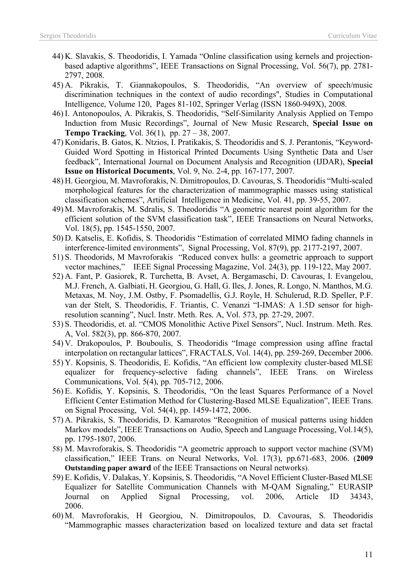- 44) K. Slavakis, S. Theodoridis, I. Yamada "Online classification using kernels and projectionbased adaptive algorithms", IEEE Transactions on Signal Processing, Vol. 56(7), pp. 2781- 2797, 2008.
- 45) A. Pikrakis, T. Giannakopoulos, S. Theodoridis, "An overview of speech/music discrimination techniques in the context of audio recordings", Studies in Computational Intelligence, Volume 120, Pages 81-102, Springer Verlag (ISSN 1860-949X), 2008.
- 46) I. Antonopoulos, A. Pikrakis, S. Theodoridis, "Self-Similarity Analysis Applied on Tempo Induction from Music Recordings", Journal of New Music Research, **Special Issue on Tempo Tracking**, Vol. 36(1), pp. 27 – 38, 2007.
- 47) Konidaris, B. Gatos, K. Ntzios, I. Pratikakis, S. Theodoridis and S. J. Perantonis, "Keyword-Guided Word Spotting in Historical Printed Documents Using Synthetic Data and User feedback", International Journal on Document Analysis and Recognition (IJDAR), **Special Issue on Historical Documents**, Vol. 9, No. 2-4, pp. 167-177, 2007.
- 48) H. Georgiou, M. Mavroforakis, N. Dimitropoulos, D. Cavouras, S. Theodoridis "Multi-scaled morphological features for the characterization of mammographic masses using statistical classification schemes", Artificial Intelligence in Medicine, Vol. 41, pp. 39-55, 2007.
- 49) M. Mavroforakis, M. Sdralis, S. Theodoridis "A geometric nearest point algorithm for the efficient solution of the SVM classification task", IEEE Transactions on Neural Networks, Vol. 18(5), pp. 1545-1550, 2007.
- 50) D. Katselis, E. Kofidis, S. Theodoridis "Estimation of correlated MIMO fading channels in interference-limited environments", Signal Processing, Vol. 87(9), pp. 2177-2197, 2007.
- 51) S. Theodorids, M Mavroforakis "Reduced convex hulls: a geometric approach to support vector machines," IEEE Signal Processing Magazine, Vol. 24(3), pp. 119-122, May 2007.
- 52) A. Fant, P. Gasiorek, R. Turchetta, B. Avset, A. Bergamaschi, D. Cavouras, I. Evangelou, M.J. French, A. Galbiati, H. Georgiou, G. Hall, G. Iles, J. Jones, R. Longo, N. Manthos, M.G. Metaxas, M. Noy, J.M. Ostby, F. Psomadellis, G.J. Royle, H. Schulerud, R.D. Speller, P.F. van der Stelt, S. Theodoridis, F. Triantis, C. Venanzi "I-IMAS: A 1.5D sensor for highresolution scanning", Nucl. Instr. Meth. Res. A, Vol. 573, pp. 27-29, 2007.
- 53) S. Theodoridis, et. al. "CMOS Monolithic Active Pixel Sensors", Nucl. Instrum. Meth. Res. A, Vol. 582(3), pp. 866-870, 2007.
- 54) V. Drakopoulos, P. Bouboulis, S. Theodoridis "Image compression using affine fractal interpolation on rectangular lattices", FRACTALS, Vol. 14(4), pp. 259-269, December 2006.
- 55) Y. Kopsinis, S. Theodoridis, E. Kofidis, "An efficient low complexity cluster-based MLSE equalizer for frequency-selective fading channels", IEEE Trans. on Wireless Communications, Vol. 5(4), pp. 705-712, 2006.
- 56) E. Kofidis, Y. Kopsinis, S. Theodoridis, "On the least Squares Performance of a Novel Efficient Center Estimation Method for Clustering-Based MLSE Equalization", IEEE Trans. on Signal Processing, Vol. 54(4), pp. 1459-1472, 2006.
- 57) A. Pikrakis, S. Theodoridis, D. Kamarotos "Recognition of musical patterns using hidden Markov models", IEEE Transactions on Audio, Speech and Language Processing, Vol.14(5), pp. 1795-1807, 2006.
- 58) M. Mavroforakis, S. Theodoridis "A geometric approach to support vector machine (SVM) classification," IEEE Trans. on Neural Networks, Vol. 17(3), pp.671-683, 2006. (**2009 Outstanding paper award** of the IEEE Transactions on Neural networks).
- 59) E. Kofidis, V. Dalakas, Y. Kopsinis, S. Theodoridis, "A Novel Efficient Cluster-Based MLSE Equalizer for Satellite Communication Channels with M-QAM Signaling," EURASIP Journal on Applied Signal Processing, vol. 2006, Article ID 34343, 2006.
- 60) M. Mavroforakis, H Georgiou, N. Dimitropoulos, D. Cavouras, S. Theodoridis "Mammographic masses characterization based on localized texture and data set fractal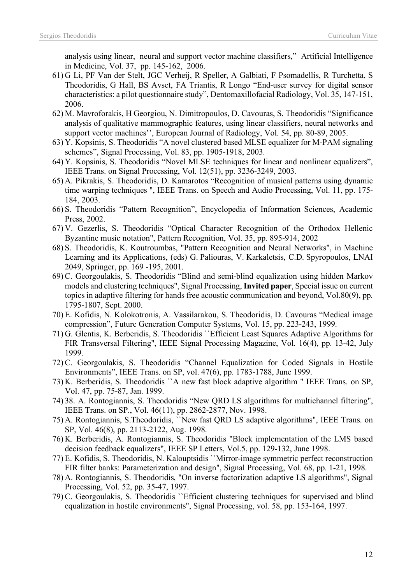analysis using linear, neural and support vector machine classifiers," Artificial Intelligence in Medicine, Vol. 37, pp. 145-162, 2006.

- 61) G Li, PF Van der Stelt, JGC Verheij, R Speller, A Galbiati, F Psomadellis, R Turchetta, S Theodoridis, G Hall, BS Avset, FA Triantis, R Longo "End-user survey for digital sensor characteristics: a pilot questionnaire study", Dentomaxillofacial Radiology, Vol. 35, 147-151, 2006.
- 62) M. Mavroforakis, H Georgiou, N. Dimitropoulos, D. Cavouras, S. Theodoridis "Significance analysis of qualitative mammographic features, using linear classifiers, neural networks and support vector machines'', European Journal of Radiology, Vol. 54, pp. 80-89, 2005.
- 63) Y. Kopsinis, S. Theodoridis "A novel clustered based MLSE equalizer for M-PAM signaling schemes", Signal Processing, Vol. 83, pp. 1905-1918, 2003.
- 64) Y. Kopsinis, S. Theodoridis "Novel MLSE techniques for linear and nonlinear equalizers", IEEE Trans. on Signal Processing, Vol. 12(51), pp. 3236-3249, 2003.
- 65) A. Pikrakis, S. Theodoridis, D. Kamarotos "Recognition of musical patterns using dynamic time warping techniques ", IEEE Trans. on Speech and Audio Processing, Vol. 11, pp. 175- 184, 2003.
- 66) S. Theodoridis "Pattern Recognition", Encyclopedia of Information Sciences, Academic Press, 2002.
- 67) V. Gezerlis, S. Theodoridis "Optical Character Recognition of the Orthodox Hellenic Byzantine music notation", Pattern Recognition, Vol. 35, pp. 895-914, 2002
- 68) S. Theodoridis, K. Koutroumbas, "Pattern Recognition and Neural Networks", in Machine Learning and its Applications, (eds) G. Paliouras, V. Karkaletsis, C.D. Spyropoulos, LNAI 2049, Springer, pp. 169 -195, 2001.
- 69) C. Georgoulakis, S. Theodoridis "Blind and semi-blind equalization using hidden Markov models and clustering techniques", Signal Processing, **Invited paper**, Special issue on current topics in adaptive filtering for hands free acoustic communication and beyond, Vol.80(9), pp. 1795-1807, Sept. 2000.
- 70) E. Kofidis, N. Kolokotronis, A. Vassilarakou, S. Theodoridis, D. Cavouras "Medical image compression", Future Generation Computer Systems, Vol. 15, pp. 223-243, 1999.
- 71) G. Glentis, K. Berberidis, S. Theodoridis ``Efficient Least Squares Adaptive Algorithms for FIR Transversal Filtering", IEEE Signal Processing Magazine, Vol. 16(4), pp. 13-42, July 1999.
- 72) C. Georgoulakis, S. Theodoridis "Channel Equalization for Coded Signals in Hostile Environments", IEEE Trans. on SP, vol. 47(6), pp. 1783-1788, June 1999.
- 73) K. Berberidis, S. Theodoridis ``A new fast block adaptive algorithm " IEEE Trans. on SP, Vol. 47, pp. 75-87, Jan. 1999.
- 74) 38. A. Rontogiannis, S. Theodoridis "New QRD LS algorithms for multichannel filtering", IEEE Trans. on SP., Vol. 46(11), pp. 2862-2877, Nov. 1998.
- 75) A. Rontogiannis, S.Theodoridis, ``New fast QRD LS adaptive algorithms", IEEE Trans. on SP, Vol. 46(8), pp. 2113-2122, Aug. 1998.
- 76) K. Berberidis, A. Rontogiannis, S. Theodoridis "Block implementation of the LMS based decision feedback equalizers", IEEE SP Letters, Vol.5, pp. 129-132, June 1998.
- 77) E. Kofidis, S. Theodoridis, N. Kalouptsidis ``Mirror-image symmetric perfect reconstruction FIR filter banks: Parameterization and design", Signal Processing, Vol. 68, pp. 1-21, 1998.
- 78) A. Rontogiannis, S. Theodoridis, "On inverse factorization adaptive LS algorithms", Signal Processing, Vol. 52, pp. 35-47, 1997.
- 79) C. Georgoulakis, S. Theodoridis ``Efficient clustering techniques for supervised and blind equalization in hostile environments", Signal Processing, vol. 58, pp. 153-164, 1997.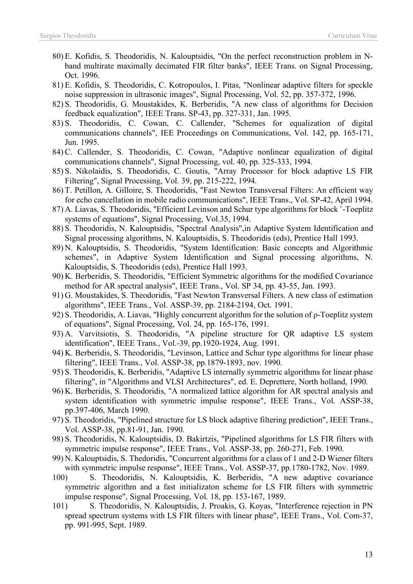- 80) E. Kofidis, S. Theodoridis, N. Kalouptsidis, "On the perfect reconstruction problem in Nband multirate maximally decimated FIR filter banks", IEEE Trans. on Signal Processing, Oct. 1996.
- 81) E. Kofidis, S. Theodoridis, C. Kotropoulos, I. Pitas, "Nonlinear adaptive filters for speckle noise suppression in ultrasonic images", Signal Processing, Vol. 52, pp. 357-372, 1996.
- 82) S. Theodoridis, G. Moustakides, K. Berberidis, "A new class of algorithms for Decision feedback equalization", IEEE Trans. SP-43, pp. 327-331, Jan. 1995.
- 83) S. Theodoridis, C. Cowan, C. Callender, "Schemes for equalization of digital communications channels", IEE Proceedings on Communications, Vol. 142, pp. 165-171, Jun. 1995.
- 84) C. Callender, S. Theodoridis, C. Cowan, "Adaptive nonlinear equalization of digital communications channels", Signal Processing, vol. 40, pp. 325-333, 1994.
- 85) S. Nikolaidis, S. Theodoridis, C. Goutis, "Array Processor for block adaptive LS FIR Filtering", Signal Processing, Vol. 39, pp. 215-222, 1994.
- 86) T. Petillon, A. Gilloire, S. Theodoridis, "Fast Newton Transversal Filters: An efficient way for echo cancellation in mobile radio communications", IEEE Trans., Vol. SP-42, April 1994.
- 87) A. Liavas, S. Theodoridis, "Efficient Levinson and Schur type algorithms for block ¨-Toeplitz systems of equations", Signal Processing, Vol.35, 1994.
- 88) S. Theodoridis, N. Kalouptsidis, "Spectral Analysis",in Adaptive System Identification and Signal processing algorithms, N. Kalouptsidis, S. Theodoridis (eds), Prentice Hall 1993.
- 89) N. Kalouptsidis, S. Theodoridis, "System Identification: Basic concepts and Algorithmic schemes", in Adaptive System Identification and Signal processing algorithms, N. Kalouptsidis, S. Theodoridis (eds), Prentice Hall 1993.
- 90) K. Berberidis, S. Theodoridis, "Efficient Symmetric algorithms for the modified Covariance method for AR spectral analysis", IEEE Trans., Vol. SP 34, pp. 43-55, Jan. 1993.
- 91) G. Moustakides, S. Theodoridis, "Fast Newton Transversal Filters. A new class of estimation algorithms", IEEE Trans., Vol. ASSP-39, pp. 2184-2194, Oct. 1991.
- 92) S. Theodoridis, A. Liavas, "Highly concurrent algorithm for the solution of ρ-Toeplitz system of equations", Signal Processing, Vol. 24, pp. 165-176, 1991.
- 93) A. Varvitsiotis, S. Theodoridis, "A pipeline structure for QR adaptive LS system identification", IEEE Trans., Vol.-39, pp.1920-1924, Aug. 1991.
- 94) K. Berberidis, S. Theodoridis, "Levinson, Lattice and Schur type algorithms for linear phase filtering", IEEE Trans., Vol. ASSP-38, pp.1879-1893, nov. 1990.
- 95) S. Theodoridis, K. Berberidis, "Adaptive LS internally symmetric algorithms for linear phase filtering", in "Algorithms and VLSI Architectures", ed. E. Deprettere, North holland, 1990.
- 96) K. Berberidis, S. Theodoridis, "A normalized lattice algorithm for ΑR spectral analysis and system identification with symmetric impulse response", IEEE Trans., Vol. ASSP-38, pp.397-406, March 1990.
- 97) S. Theodoridis, "Pipelined structure for LS block adaptive filtering prediction", IEEE Trans., Vol. ASSP-38, pp.81-91, Jan. 1990.
- 98) S. Theodoridis, N. Kalouptsidis, D. Bakirtzis, "Pipelined algorithms for LS FIR filters with symmetric impulse response", IEEE Trans., Vol. ASSP-38, pp. 260-271, Feb. 1990.
- 99) N. Kalouptsidis, S. Thedoridis, "Concurrent algorithms for a class of 1 and 2-D Wiener filters with symmetric impulse response", IEEE Trans., Vol. ASSP-37, pp.1780-1782, Nov. 1989.
- 100) S. Theodoridis, N. Kalouptsidis, K. Berberidis, "A new adaptive covariance symmetric algorithm and a fast initializaton scheme for LS FIR filters with symmetric impulse response", Signal Processing, Vol. 18, pp. 153-167, 1989.
- 101) S. Theodoridis, N. Kalouptsidis, J. Proakis, G. Koyas, "Interference rejection in PN spread spectrum systems with LS FIR filters with linear phase", IEEE Trans., Vol. Com-37, pp. 991-995, Sept. 1989.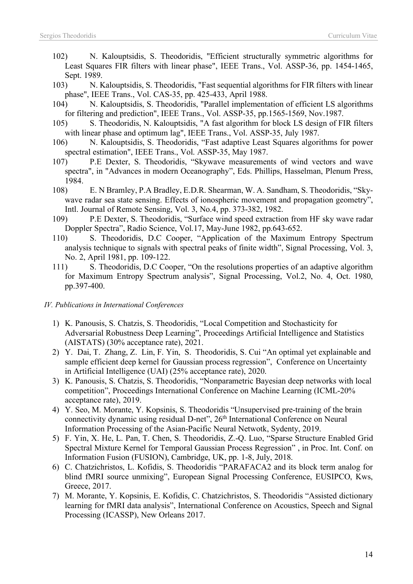- 102) N. Kalouptsidis, S. Theodoridis, "Efficient structurally symmetric algorithms for Least Squares FIR filters with linear phase", IEEE Trans., Vol. ASSP-36, pp. 1454-1465, Sept. 1989.
- 103) N. Kalouptsidis, S. Theodoridis, "Fast sequential algorithms for FIR filters with linear phase", IEEE Trans., Vol. CAS-35, pp. 425-433, April 1988.
- 104) N. Kalouptsidis, S. Theodoridis, "Parallel implementation of efficient LS algorithms for filtering and prediction", IEEE Trans., Vol. ASSP-35, pp.1565-1569, Nov.1987.
- 105) S. Theodoridis, N. Kalouptsidis, "A fast algorithm for block LS design of FIR filters with linear phase and optimum lag", IEEE Trans., Vol. ASSP-35, July 1987.
- 106) N. Kalouptsidis, S. Theodoridis, "Fast adaptive Least Squares algorithms for power spectral estimation", IEEE Trans., Vol. ASSP-35, May 1987.
- 107) P.E Dexter, S. Theodoridis, "Skywave measurements of wind vectors and wave spectra", in "Advances in modern Oceanography", Eds. Phillips, Hasselman, Plenum Press, 1984.
- 108) E. N Bramley, P.A Bradley, E.D.R. Shearman, W. A. Sandham, S. Theodoridis, "Skywave radar sea state sensing. Effects of ionospheric movement and propagation geometry", Intl. Journal of Remote Sensing, Vol. 3, No.4, pp. 373-382, 1982.
- 109) P.E Dexter, S. Theodoridis, "Surface wind speed extraction from HF sky wave radar Doppler Spectra", Radio Science, Vol.17, May-June 1982, pp.643-652.
- 110) S. Theodoridis, D.C Cooper, "Application of the Maximum Entropy Spectrum analysis technique to signals with spectral peaks of finite width", Signal Processing, Vol. 3, No. 2, April 1981, pp. 109-122.
- 111) S. Theodoridis, D.C Cooper, "On the resolutions properties of an adaptive algorithm for Maximum Entropy Spectrum analysis", Signal Processing, Vol.2, No. 4, Oct. 1980, pp.397-400.

#### *IV. Publications in International Conferences*

- 1) K. Panousis, S. Chatzis, S. Theodoridis, "Local Competition and Stochasticity for Adversarial Robustness Deep Learning", Proceedings Artificial Intelligence and Statistics (AISTATS) (30% acceptance rate), 2021.
- 2) Y. Dai, T. Zhang, Z. Lin, F. Yin, S. Theodoridis, S. Cui "An optimal yet explainable and sample efficient deep kernel for Gaussian process regression", Conference on Uncertainty in Artificial Intelligence (UAI) (25% acceptance rate), 2020.
- 3) K. Panousis, S. Chatzis, S. Theodoridis, "Nonparametric Bayesian deep networks with local competition", Proceedings International Conference on Machine Learning (ICML-20% acceptance rate), 2019.
- 4) Y. Seo, M. Morante, Y. Kopsinis, S. Theodoridis "Unsupervised pre-training of the brain connectivity dynamic using residual D-net", 26<sup>th</sup> International Conference on Neural Information Processing of the Asian-Pacific Neural Netwotk, Sydenty, 2019.
- 5) F. Yin, X. He, L. Pan, T. Chen, S. Theodoridis, Z.-Q. Luo, "Sparse Structure Enabled Grid Spectral Mixture Kernel for Temporal Gaussian Process Regression" , in Proc. Int. Conf. on Information Fusion (FUSION), Cambridge, UK, pp. 1-8, July, 2018.
- 6) C. Chatzichristos, L. Kofidis, S. Theodoridis "PARAFACA2 and its block term analog for blind fMRI source unmixing", European Signal Processing Conference, EUSIPCO, Kws, Greece, 2017.
- 7) M. Morante, Y. Kopsinis, E. Kofidis, C. Chatzichristos, S. Theodoridis "Assisted dictionary learning for fMRI data analysis", International Conference on Acoustics, Speech and Signal Processing (ICASSP), New Orleans 2017.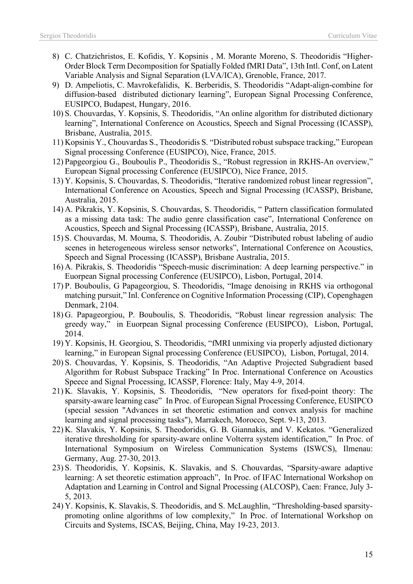- 8) C. Chatzichristos, E. Kofidis, Y. Kopsinis , M. Morante Moreno, S. Theodoridis "Higher-Order Block Term Decomposition for Spatially Folded fMRI Data", 13th Intl. Conf, on Latent Variable Analysis and Signal Separation (LVA/ICA), Grenoble, France, 2017.
- 9) D. Ampeliotis, C. Mavrokefalidis, K. Berberidis, S. Theodoridis "Adapt-align-combine for diffusion-based distributed dictionary learning", European Signal Processing Conference, EUSIPCO, Budapest, Hungary, 2016.
- 10) S. Chouvardas, Y. Kopsinis, S. Theodoridis, "An online algorithm for distributed dictionary learning", International Conference on Acoustics, Speech and Signal Processing (ICASSP), Brisbane, Australia, 2015.
- 11) Kopsinis Y., Chouvardas S., Theodoridis S. "Distributed robust subspace tracking," European Signal processing Conference (EUSIPCO), Nice, France, 2015.
- 12) Papgeorgiou G., Bouboulis P., Theodoridis S., "Robust regression in RKHS-An overview," European Signal processing Conference (EUSIPCO), Nice France, 2015.
- 13) Y. Kopsinis, S. Chouvardas, S. Theodoridis, "Iterative randomized robust linear regression", International Conference on Acoustics, Speech and Signal Processing (ICASSP), Brisbane, Australia, 2015.
- 14) A. Pikrakis, Y. Kopsinis, S. Chouvardas, S. Theodoridis, " Pattern classification formulated as a missing data task: The audio genre classification case", International Conference on Acoustics, Speech and Signal Processing (ICASSP), Brisbane, Australia, 2015.
- 15) S. Chouvardas, M. Mouma, S. Theodoridis, A. Zoubir "Distributed robust labeling of audio scenes in heterogeneous wireless sensor networks", International Conference on Acoustics, Speech and Signal Processing (ICASSP), Brisbane Australia, 2015.
- 16) A. Pikrakis, S. Theodoridis "Speech-music discrimination: A deep learning perspective." in Euorpean Signal processing Conference (EUSIPCO), Lisbon, Portugal, 2014.
- 17) P. Bouboulis, G Papageorgiou, S. Theodoridis, "Image denoising in RKHS via orthogonal matching pursuit," Inl. Conference on Cognitive Information Processing (CIP), Copenghagen Denmark, 2104.
- 18) G. Papageorgiou, P. Bouboulis, S. Theodoridis, "Robust linear regression analysis: The greedy way," in Euorpean Signal processing Conference (EUSIPCO), Lisbon, Portugal, 2014.
- 19) Y. Kopsinis, H. Georgiou, S. Theodoridis, "fMRI unmixing via properly adjusted dictionary learning," in European Signal processing Conference (EUSIPCO), Lisbon, Portugal, 2014.
- 20) S. Chouvardas, Y. Kopsinis, S. Theodoridis, "An Adaptive Projected Subgradient based Algorithm for Robust Subspace Tracking" In Proc. International Conference on Acoustics Speece and Signal Processing, ICASSP, Florence: Italy, May 4-9, 2014.
- 21) K. Slavakis, Y. Kopsinis, S. Theodoridis, "New operators for fixed-point theory: The sparsity-aware learning case" In Proc. of European Signal Processing Conference, EUSIPCO (special session "Advances in set theoretic estimation and convex analysis for machine learning and signal processing tasks"), Marrakech, Morocco, Sept. 9-13, 2013.
- 22) K. Slavakis, Y. Kopsinis, S. Theodoridis, G. B. Giannakis, and V. Kekatos. "Generalized iterative thresholding for sparsity-aware online Volterra system identification," In Proc. of International Symposium on Wireless Communication Systems (ISWCS), Ilmenau: Germany, Aug. 27-30, 2013.
- 23) S. Theodoridis, Y. Kopsinis, K. Slavakis, and S. Chouvardas, "Sparsity-aware adaptive learning: A set theoretic estimation approach", In Proc. of IFAC International Workshop on Adaptation and Learning in Control and Signal Processing (ALCOSP), Caen: France, July 3- 5, 2013.
- 24) Y. Kopsinis, K. Slavakis, S. Theodoridis, and S. McLaughlin, "Thresholding-based sparsitypromoting online algorithms of low complexity," In Proc. of International Workshop on Circuits and Systems, ISCAS, Beijing, China, May 19-23, 2013.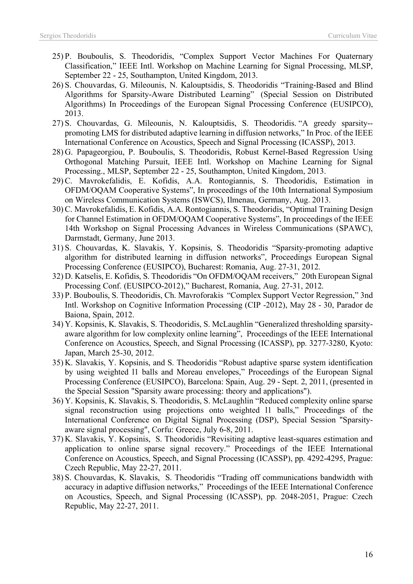- 25) P. Bouboulis, S. Theodoridis, "Complex Support Vector Machines For Quaternary Classification," IEEE Intl. Workshop on Machine Learning for Signal Processing, MLSP, September 22 - 25, Southampton, United Kingdom, 2013.
- 26) S. Chouvardas, G. Mileounis, N. Kalouptsidis, S. Theodoridis "Training-Based and Blind Algorithms for Sparsity-Aware Distributed Learning" (Special Session on Distributed Algorithms) In Proceedings of the European Signal Processing Conference (EUSIPCO), 2013.
- 27) S. Chouvardas, G. Mileounis, N. Kalouptsidis, S. Theodoridis. "A greedy sparsity- promoting LMS for distributed adaptive learning in diffusion networks," In Proc. of the IEEE International Conference on Acoustics, Speech and Signal Processing (ICASSP), 2013.
- 28) G. Papageorgiou, P. Bouboulis, S. Theodoridis, Robust Kernel-Based Regression Using Orthogonal Matching Pursuit, IEEE Intl. Workshop on Machine Learning for Signal Processing., MLSP, September 22 - 25, Southampton, United Kingdom, 2013.
- 29) C. Mavrokefalidis, E. Kofidis, A.A. Rontogiannis, S. Theodoridis, Estimation in OFDM/OQAM Cooperative Systems", In proceedings of the 10th International Symposium on Wireless Communication Systems (ISWCS), Ilmenau, Germany, Aug. 2013.
- 30) C. Mavrokefalidis, E. Kofidis, A.A. Rontogiannis, S. Theodoridis, "Optimal Training Design for Channel Estimation in OFDM/OQAM Cooperative Systems", In proceedings of the IEEE 14th Workshop on Signal Processing Advances in Wireless Communications (SPAWC), Darmstadt, Germany, June 2013.
- 31) S. Chouvardas, K. Slavakis, Y. Kopsinis, S. Theodoridis "Sparsity-promoting adaptive algorithm for distributed learning in diffusion networks", Proceedings European Signal Processing Conference (EUSIPCO), Bucharest: Romania, Aug. 27-31, 2012.
- 32) D. Katselis, E. Kofidis, S. Theodoridis "On OFDM/OQAM receivers," 20th European Signal Processing Conf. (EUSIPCO-2012)," Bucharest, Romania, Aug. 27-31, 2012.
- 33) P. Bouboulis, S. Theodoridis, Ch. Mavroforakis "Complex Support Vector Regression," 3nd Intl. Workshop on Cognitive Information Processing (CIP -2012), May 28 - 30, Parador de Baiona, Spain, 2012.
- 34) Y. Kopsinis, K. Slavakis, S. Theodoridis, S. McLaughlin "Generalized thresholding sparsityaware algorithm for low complexity online learning", Proceedings of the IEEE International Conference on Acoustics, Speech, and Signal Processing (ICASSP), pp. 3277-3280, Kyoto: Japan, March 25-30, 2012.
- 35) K. Slavakis, Y. Kopsinis, and S. Theodoridis "Robust adaptive sparse system identification by using weighted l1 balls and Moreau envelopes," Proceedings of the European Signal Processing Conference (EUSIPCO), Barcelona: Spain, Aug. 29 - Sept. 2, 2011, (presented in the Special Session "Sparsity aware processing: theory and applications").
- 36) Y. Kopsinis, K. Slavakis, S. Theodoridis, S. McLaughlin "Reduced complexity online sparse signal reconstruction using projections onto weighted l1 balls," Proceedings of the International Conference on Digital Signal Processing (DSP), Special Session "Sparsityaware signal processing", Corfu: Greece, July 6-8, 2011.
- 37) K. Slavakis, Y. Kopsinis, S. Theodoridis "Revisiting adaptive least-squares estimation and application to online sparse signal recovery." Proceedings of the IEEE International Conference on Acoustics, Speech, and Signal Processing (ICASSP), pp. 4292-4295, Prague: Czech Republic, May 22-27, 2011.
- 38) S. Chouvardas, K. Slavakis, S. Theodoridis "Trading off communications bandwidth with accuracy in adaptive diffusion networks," Proceedings of the IEEE International Conference on Acoustics, Speech, and Signal Processing (ICASSP), pp. 2048-2051, Prague: Czech Republic, May 22-27, 2011.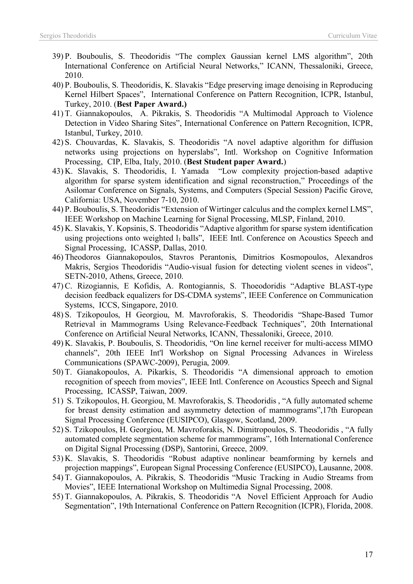- 39) P. Bouboulis, S. Theodoridis "The complex Gaussian kernel LMS algorithm", 20th International Conference on Artificial Neural Networks," ICANN, Thessaloniki, Greece, 2010.
- 40) P. Bouboulis, S. Theodoridis, K. Slavakis "Edge preserving image denoising in Reproducing Kernel Hilbert Spaces", International Conference on Pattern Recognition, ICPR, Istanbul, Turkey, 2010. (**Best Paper Award.)**
- 41) T. Giannakopoulos, A. Pikrakis, S. Theodoridis "A Multimodal Approach to Violence Detection in Video Sharing Sites", International Conference on Pattern Recognition, ICPR, Istanbul, Turkey, 2010.
- 42) S. Chouvardas, K. Slavakis, S. Theodoridis "A novel adaptive algorithm for diffusion networks using projections on hyperslabs", Intl. Workshop on Cognitive Information Processing, CIP, Elba, Italy, 2010. (**Best Student paper Award.**)
- 43) K. Slavakis, S. Theodoridis, I. Yamada "Low complexity projection-based adaptive algorithm for sparse system identification and signal reconstruction," Proceedings of the Asilomar Conference on Signals, Systems, and Computers (Special Session) Pacific Grove, California: USA, November 7-10, 2010.
- 44) P. Bouboulis, S. Theodoridis "Extension of Wirtinger calculus and the complex kernel LMS", IEEE Workshop on Machine Learning for Signal Processing, MLSP, Finland, 2010.
- 45) K. Slavakis, Y. Kopsinis, S. Theodoridis "Adaptive algorithm for sparse system identification using projections onto weighted  $l_1$  balls", IEEE Intl. Conference on Acoustics Speech and Signal Processing, ICASSP, Dallas, 2010.
- 46) Theodoros Giannakopoulos, Stavros Perantonis, Dimitrios Kosmopoulos, Alexandros Makris, Sergios Theodoridis "Audio-visual fusion for detecting violent scenes in videos", SETN-2010, Athens, Greece, 2010.
- 47) C. Rizogiannis, E Kofidis, A. Rontogiannis, S. Thoeodoridis "Adaptive BLAST-type decision feedback equalizers for DS-CDMA systems", IEEE Conference on Communication Systems, ICCS, Singapore, 2010.
- 48) S. Tzikopoulos, H Georgiou, M. Mavroforakis, S. Theodoridis "Shape-Based Tumor Retrieval in Mammograms Using Relevance-Feedback Techniques", 20th International Conference on Artificial Neural Networks, ICANN, Thessaloniki, Greece, 2010.
- 49) K. Slavakis, P. Bouboulis, S. Theodoridis, "On line kernel receiver for multi-access MIMO channels", 20th IEEE Int'l Workshop on Signal Processing Advances in Wireless Communications (SPAWC-2009), Perugia, 2009.
- 50) T. Gianakopoulos, A. Pikarkis, S. Theodoridis "A dimensional approach to emotion recognition of speech from movies", IEEE Intl. Conference on Acoustics Speech and Signal Processing, ICASSP, Taiwan, 2009.
- 51) S. Tzikopoulos, H. Georgiou, M. Mavroforakis, S. Theodoridis , "A fully automated scheme for breast density estimation and asymmetry detection of mammograms",17th European Signal Processing Conference (EUSIPCO), Glasgow, Scotland, 2009.
- 52) S. Tzikopoulos, H. Georgiou, M. Mavroforakis, N. Dimitropoulos, S. Theodoridis , "A fully automated complete segmentation scheme for mammograms", 16th International Conference on Digital Signal Processing (DSP), Santorini, Greece, 2009.
- 53) K. Slavakis, S. Theodoridis "Robust adaptive nonlinear beamforming by kernels and projection mappings", European Signal Processing Conference (EUSIPCO), Lausanne, 2008.
- 54) T. Giannakopoulos, A. Pikrakis, S. Theodoridis "Music Tracking in Audio Streams from Movies", IEEE International Workshop on Multimedia Signal Processing, 2008.
- 55) T. Giannakopoulos, A. Pikrakis, S. Theodoridis "A Novel Efficient Approach for Audio Segmentation", 19th International Conference on Pattern Recognition (ICPR), Florida, 2008.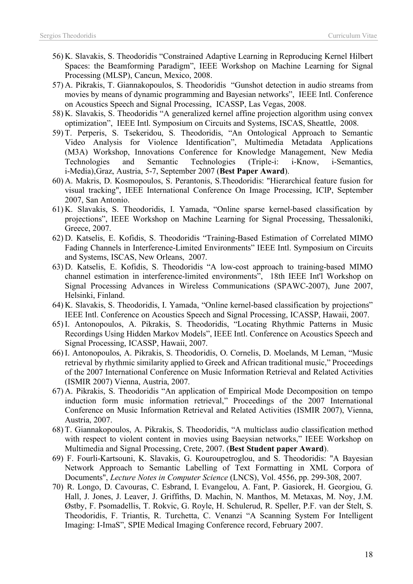- 56) K. Slavakis, S. Theodoridis "Constrained Adaptive Learning in Reproducing Kernel Hilbert Spaces: the Beamforming Paradigm", IEEE Workshop on Machine Learning for Signal Processing (MLSP), Cancun, Mexico, 2008.
- 57) A. Pikrakis, T. Giannakopoulos, S. Theodoridis "Gunshot detection in audio streams from movies by means of dynamic programming and Bayesian networks", IEEE Intl. Conference on Acoustics Speech and Signal Processing, ICASSP, Las Vegas, 2008.
- 58) K. Slavakis, S. Theodoridis "A generalized kernel affine projection algorithm using convex optimization", IEEE Intl. Symposium on Circuits and Systems, ISCAS, Sheattle, 2008.
- 59) T. Perperis, S. Tsekeridou, S. Theodoridis, "An Ontological Approach to Semantic Video Analysis for Violence Identification", Multimedia Metadata Applications (M3A) Workshop, Innovations Conference for Knowledge Management, New Media Technologies and Semantic Technologies (Triple-i: i-Know, i-Semantics, i-Media),Graz, Austria, 5-7, September 2007 (**Best Paper Award**).
- 60) A. Makris, D. Kosmopoulos, S. Perantonis, S.Theodoridis: "Hierarchical feature fusion for visual tracking", IEEE International Conference On Image Processing, ICIP, September 2007, San Antonio.
- 61) K. Slavakis, S. Theodoridis, I. Yamada, "Online sparse kernel-based classification by projections", IEEE Workshop on Machine Learning for Signal Processing, Thessaloniki, Greece, 2007.
- 62) D. Katselis, E. Kofidis, S. Theodoridis "Training-Based Estimation of Correlated MIMO Fading Channels in Interference-Limited Environments" IEEE Intl. Symposium on Circuits and Systems, ISCAS, New Orleans, 2007.
- 63) D. Katselis, E. Kofidis, S. Theodoridis "A low-cost approach to training-based MIMO channel estimation in interference-limited environments", 18th IEEE Int'l Workshop on Signal Processing Advances in Wireless Communications (SPAWC-2007), June 2007, Helsinki, Finland.
- 64) K. Slavakis, S. Theodoridis, I. Yamada, "Online kernel-based classification by projections" IEEE Intl. Conference on Acoustics Speech and Signal Processing, ICASSP, Hawaii, 2007.
- 65) I. Antonopoulos, A. Pikrakis, S. Theodoridis, "Locating Rhythmic Patterns in Music Recordings Using Hidden Markov Models", IEEE Intl. Conference on Acoustics Speech and Signal Processing, ICASSP, Hawaii, 2007.
- 66) I. Antonopoulos, A. Pikrakis, S. Theodoridis, O. Cornelis, D. Moelands, M Leman, "Music retrieval by rhythmic similarity applied to Greek and African traditional music," Proceedings of the 2007 International Conference on Music Information Retrieval and Related Activities (ISMIR 2007) Vienna, Austria, 2007.
- 67) A. Pikrakis, S. Theodoridis "An application of Empirical Mode Decomposition on tempo induction form music information retrieval," Proceedings of the 2007 International Conference on Music Information Retrieval and Related Activities (ISMIR 2007), Vienna, Austria, 2007.
- 68) T. Giannakopoulos, A. Pikrakis, S. Theodoridis, "A multiclass audio classification method with respect to violent content in movies using Baeysian networks," IEEE Workshop on Multimedia and Signal Processing, Crete, 2007. (**Best Student paper Award**).
- 69) F. Fourli-Kartsouni, K. Slavakis, G. Kouroupetroglou, and S. Theodoridis: "A Bayesian Network Approach to Semantic Labelling of Text Formatting in XML Corpora of Documents", *Lecture Notes in Computer Science* (LNCS), Vol. 4556, pp. 299-308, 2007.
- 70) R. Longo, D. Cavouras, C. Esbrand, I. Evangelou, A. Fant, P. Gasiorek, H. Georgiou, G. Hall, J. Jones, J. Leaver, J. Griffiths, D. Machin, N. Manthos, M. Metaxas, M. Noy, J.M. Østby, F. Psomadellis, T. Rokvic, G. Royle, H. Schulerud, R. Speller, P.F. van der Stelt, S. Theodoridis, F. Triantis, R. Turchetta, C. Venanzi "A Scanning System For Intelligent Imaging: I-ImaS", SPIE Medical Imaging Conference record, February 2007.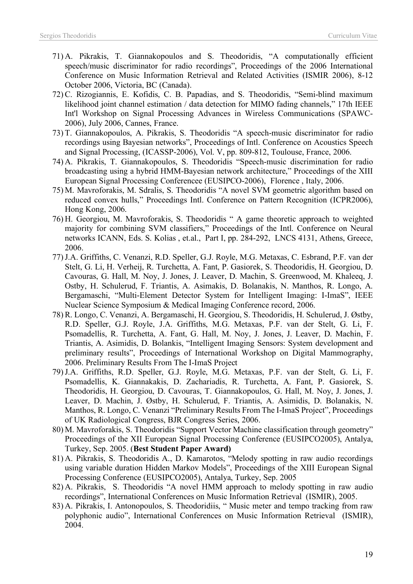- 71) A. Pikrakis, T. Giannakopoulos and S. Theodoridis, "A computationally efficient speech/music discriminator for radio recordings", Proceedings of the 2006 International Conference on Music Information Retrieval and Related Activities (ISMIR 2006), 8-12 October 2006, Victoria, BC (Canada).
- 72) C. Rizogiannis, E. Kofidis, C. B. Papadias, and S. Theodoridis, "Semi-blind maximum likelihood joint channel estimation / data detection for MIMO fading channels," 17th IEEE Int'l Workshop on Signal Processing Advances in Wireless Communications (SPAWC-2006), July 2006, Cannes, France.
- 73) T. Giannakopoulos, A. Pikrakis, S. Theodoridis "A speech-music discriminator for radio recordings using Bayesian networks", Proceedings of Intl. Conference on Acoustics Speech and Signal Processing, (ICASSP-2006), Vol. V, pp. 809-812, Toulouse, France, 2006.
- 74) A. Pikrakis, T. Giannakopoulos, S. Theodoridis "Speech-music discrimination for radio broadcasting using a hybrid HMM-Bayesian network architecture," Proceedings of the XIII European Signal Processing Conferencee (EUSIPCO-2006), Florence , Italy, 2006.
- 75) M. Mavroforakis, M. Sdralis, S. Theodoridis "A novel SVM geometric algorithm based on reduced convex hulls," Proceedings Intl. Conference on Pattern Recognition (ICPR2006), Hong Kong, 2006.
- 76) H. Georgiou, M. Mavroforakis, S. Theodoridis " A game theoretic approach to weighted majority for combining SVM classifiers," Proceedings of the Intl. Conference on Neural networks ICANN, Eds. S. Kolias , et.al., Part I, pp. 284-292, LNCS 4131, Athens, Greece, 2006.
- 77)J.A. Griffiths, C. Venanzi, R.D. Speller, G.J. Royle, M.G. Metaxas, C. Esbrand, P.F. van der Stelt, G. Li, H. Verheij, R. Turchetta, A. Fant, P. Gasiorek, S. Theodoridis, H. Georgiou, D. Cavouras, G. Hall, M. Noy, J. Jones, J. Leaver, D. Machin, S. Greenwood, M. Khaleeq, J. Ostby, H. Schulerud, F. Triantis, A. Asimakis, D. Bolanakis, N. Manthos, R. Longo, A. Bergamaschi, "Multi-Element Detector System for Intelligent Imaging: I-ImaS", IEEE Nuclear Science Symposium & Medical Imaging Conference record, 2006.
- 78) R. Longo, C. Venanzi, A. Bergamaschi, H. Georgiou, S. Theodoridis, H. Schulerud, J. Østby, R.D. Speller, G.J. Royle, J.A. Griffiths, M.G. Metaxas, P.F. van der Stelt, G. Li, F. Psomadellis, R. Turchetta, A. Fant, G. Hall, M. Noy, J. Jones, J. Leaver, D. Machin, F. Triantis, A. Asimidis, D. Bolankis, "Intelligent Imaging Sensors: System development and preliminary results", Proceedings of International Workshop on Digital Mammography, 2006. Preliminary Results From The I-ImaS Project
- 79)J.A. Griffiths, R.D. Speller, G.J. Royle, M.G. Metaxas, P.F. van der Stelt, G. Li, F. Psomadellis, K. Giannakakis, D. Zachariadis, R. Turchetta, A. Fant, P. Gasiorek, S. Theodoridis, H. Georgiou, D. Cavouras, T. Giannakopoulos, G. Hall, M. Noy, J. Jones, J. Leaver, D. Machin, J. Østby, H. Schulerud, F. Triantis, A. Asimidis, D. Bolanakis, N. Manthos, R. Longo, C. Venanzi "Preliminary Results From The I-ImaS Project", Proceedings of UK Radiological Congress, BJR Congress Series, 2006.
- 80) M. Mavroforakis, S. Theodoridis "Support Vector Machine classification through geometry" Proceedings of the XII European Signal Processing Conference (EUSIPCO2005), Antalya, Turkey, Sep. 2005. (**Best Student Paper Award)**
- 81) A. Pikrakis, S. Theodoridis Α., D. Kamarotos, "Melody spotting in raw audio recordings using variable duration Hidden Markov Models", Proceedings of the ΧΙIΙ European Signal Processing Conference (EUSIPCO2005), Antalya, Turkey, Sep. 2005
- 82) A. Pikrakis, S. Theodoridis "A novel HMM approach to melody spotting in raw audio recordings", International Conferences on Music Information Retrieval (ISMIR), 2005.
- 83) A. Pikrakis, I. Antonopoulos, S. Theodoridiis, " Music meter and tempo tracking from raw polyphonic audio", International Conferences on Music Information Retrieval (ISMIR), 2004.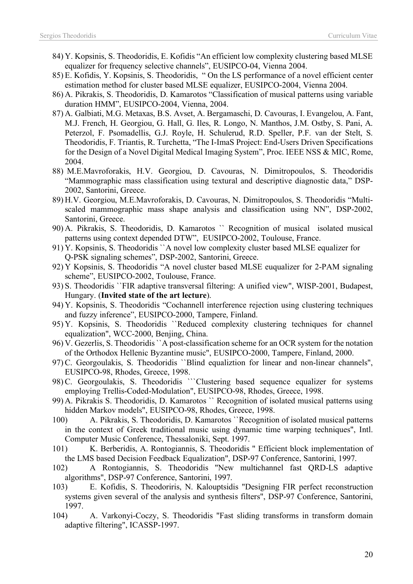- 84) Y. Kopsinis, S. Theodoridis, E. Kofidis "An efficient low complexity clustering based MLSE equalizer for frequency selective channels", EUSIPCO-04, Vienna 2004.
- 85) E. Kofidis, Y. Kopsinis, S. Theodoridis, " On the LS performance of a novel efficient center estimation method for cluster based MLSE equalizer, EUSIPCO-2004, Vienna 2004.
- 86) A. Pikrakis, S. Theodoridis, D. Kamarotos "Classification of musical patterns using variable duration HMM", EUSIPCO-2004, Vienna, 2004.
- 87) A. Galbiati, M.G. Metaxas, B.S. Avset, A. Bergamaschi, D. Cavouras, I. Evangelou, A. Fant, M.J. French, H. Georgiou, G. Hall, G. Iles, R. Longo, N. Manthos, J.M. Ostby, S. Pani, A. Peterzol, F. Psomadellis, G.J. Royle, H. Schulerud, R.D. Speller, P.F. van der Stelt, S. Theodoridis, F. Triantis, R. Turchetta, "The I-ImaS Project: End-Users Driven Specifications for the Design of a Novel Digital Medical Imaging System", Proc. IEEE NSS & MIC, Rome, 2004.
- 88) M.E.Mavroforakis, H.V. Georgiou, D. Cavouras, N. Dimitropoulos, S. Theodoridis "Mammographic mass classification using textural and descriptive diagnostic data," DSP-2002, Santorini, Greece.
- 89) H.V. Georgiou, M.E.Mavroforakis, D. Cavouras, N. Dimitropoulos, S. Theodoridis "Multiscaled mammographic mass shape analysis and classification using NN", DSP-2002, Santorini, Greece.
- 90) A. Pikrakis, S. Theodoridis, D. Kamarotos `` Recognition of musical isolated musical patterns using context depended DTW", EUSIPCO-2002, Toulouse, France.
- 91) Y. Kopsinis, S. Theodoridis ``A novel low complexity cluster based MLSE equalizer for Q-PSK signaling schemes", DSP-2002, Santorini, Greece.
- 92) Y Kopsinis, S. Theodoridis "A novel cluster based MLSE euqualizer for 2-PAM signaling scheme", EUSIPCO-2002, Toulouse, France.
- 93) S. Theodoridis ``FIR adaptive transversal filtering: A unified view", WISP-2001, Budapest, Hungary. (**Invited state of the art lecture**).
- 94) Y. Kopsinis, S. Theodoridis "Cochannell interference rejection using clustering techniques and fuzzy inference", EUSIPCO-2000, Tampere, Finland.
- 95) Y. Kopsinis, S. Theodoridis ``Reduced complexity clustering techniques for channel equalization", WCC-2000, Benjing, China.
- 96) V. Gezerlis, S. Theodoridis ``A post-classification scheme for an OCR system for the notation of the Orthodox Hellenic Byzantine music", EUSIPCO-2000, Tampere, Finland, 2000.
- 97) C. Georgoulakis, S. Theodoridis ``Blind equaliztion for linear and non-linear channels", EUSIPCO-98, Rhodes, Greece, 1998.
- 98) C. Georgoulakis, S. Theodoridis ```Clustering based sequence equalizer for systems employing Trellis-Coded-Modulation", EUSIPCO-98, Rhodes, Greece, 1998.
- 99) A. Pikrakis S. Theodoridis, D. Kamarotos `` Recognition of isolated musical patterns using hidden Markov models", EUSIPCO-98, Rhodes, Greece, 1998.
- 100) A. Pikrakis, S. Theodoridis, D. Kamarotos ``Recognition of isolated musical patterns in the context of Greek traditional music using dynamic time warping techniques", Intl. Computer Music Conference, Thessaloniki, Sept. 1997.
- 101) K. Berberidis, A. Rontogiannis, S. Theodoridis " Efficient block implementation of the LMS based Decision Feedback Equalization", DSP-97 Conference, Santorini, 1997.
- 102) A Rontogiannis, S. Theodoridis "New multichannel fast QRD-LS adaptive algorithms", DSP-97 Conference, Santorini, 1997.
- 103) E. Kofidis, S. Theodoriris, N. Kalouptsidis "Designing FIR perfect reconstruction systems given several of the analysis and synthesis filters", DSP-97 Conference, Santorini, 1997.
- 104) A. Varkonyi-Coczy, S. Theodoridis "Fast sliding transforms in transform domain adaptive filtering", ICASSP-1997.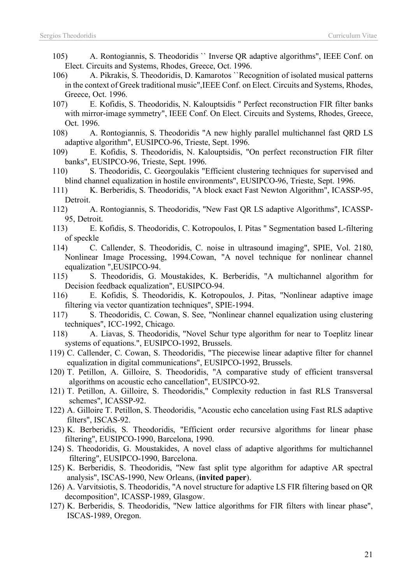- 105) A. Rontogiannis, S. Theodoridis `` Inverse QR adaptive algorithms", IEEE Conf. on Elect. Circuits and Systems, Rhodes, Greece, Oct. 1996.
- 106) A. Pikrakis, S. Theodoridis, D. Kamarotos ``Recognition of isolated musical patterns in the context of Greek traditional music",IEEE Conf. on Elect. Circuits and Systems, Rhodes, Greece, Oct. 1996.
- 107) E. Kofidis, S. Theodoridis, N. Kalouptsidis " Perfect reconstruction FIR filter banks with mirror-image symmetry", IEEE Conf. On Elect. Circuits and Systems, Rhodes, Greece, Oct. 1996.
- 108) A. Rontogiannis, S. Theodoridis "A new highly parallel multichannel fast QRD LS adaptive algorithm", EUSIPCO-96, Trieste, Sept. 1996.
- 109) E. Kofidis, S. Theodoridis, N. Kalouptsidis, "On perfect reconstruction FIR filter banks", EUSIPCO-96, Trieste, Sept. 1996.
- 110) S. Theodoridis, C. Georgoulakis "Efficient clustering techniques for supervised and blind channel equalization in hostile environments", EUSIPCO-96, Trieste, Sept. 1996.
- 111) K. Berberidis, S. Theodoridis, "A block exact Fast Newton Algorithm", ICASSP-95, Detroit.
- 112) A. Rontogiannis, S. Theodoridis, "New Fast QR LS adaptive Algorithms", ICASSP-95, Detroit.
- 113) E. Kofidis, S. Theodoridis, C. Kotropoulos, I. Pitas " Segmentation based L-filtering of speckle
- 114) C. Callender, S. Theodoridis, C. noise in ultrasound imaging", SPIE, Vol. 2180, Nonlinear Image Processing, 1994.Cowan, "A novel technique for nonlinear channel equalization ",EUSIPCO-94.
- 115) S. Theodoridis, G. Moustakides, K. Berberidis, "A multichannel algorithm for Decision feedback equalization", EUSIPCO-94.
- 116) E. Kofidis, S. Theodoridis, K. Kotropoulos, J. Pitas, "Nonlinear adaptive image filtering via vector quantization techniques", SPIE-1994.
- 117) S. Theodoridis, C. Cowan, S. See, "Nonlinear channel equalization using clustering techniques", ICC-1992, Chicago.
- 118) A. Liavas, S. Theodoridis, "Novel Schur type algorithm for near to Toeplitz linear systems of equations.", EUSIPCO-1992, Brussels.
- 119) C. Callender, C. Cowan, S. Theodoridis, "The piecewise linear adaptive filter for channel equalization in digital communications", EUSIPCO-1992, Brussels.
- 120) T. Petillon, A. Gilloire, S. Theodoridis, "A comparative study of efficient transversal algorithms on acoustic echo cancellation", EUSIPCO-92.
- 121) T. Petillon, A. Gilloire, S. Theodoridis," Complexity reduction in fast RLS Transversal schemes", ICASSP-92.
- 122) A. Gilloire T. Petillon, S. Theodoridis, "Acoustic echo cancelation using Fast RLS adaptive filters", ISCAS-92.
- 123) K. Berberidis, S. Theodoridis, "Efficient order recursive algorithms for linear phase filtering", EUSIPCO-1990, Barcelona, 1990.
- 124) S. Theodoridis, G. Moustakides, A novel class of adaptive algorithms for multichannel filtering", EUSIPCO-1990, Barcelona.
- 125) K. Berberidis, S. Theodoridis, "New fast split type algorithm for adaptive AR spectral analysis", ISCAS-1990, New Orleans, (**invited paper**).
- 126) A. Varvitsiotis, S. Theodoridis, "A novel structure for adaptive LS FIR filtering based on QR decomposition", ICASSP-1989, Glasgow.
- 127) K. Berberidis, S. Theodoridis, "New lattice algorithms for FIR filters with linear phase", ISCAS-1989, Oregon.